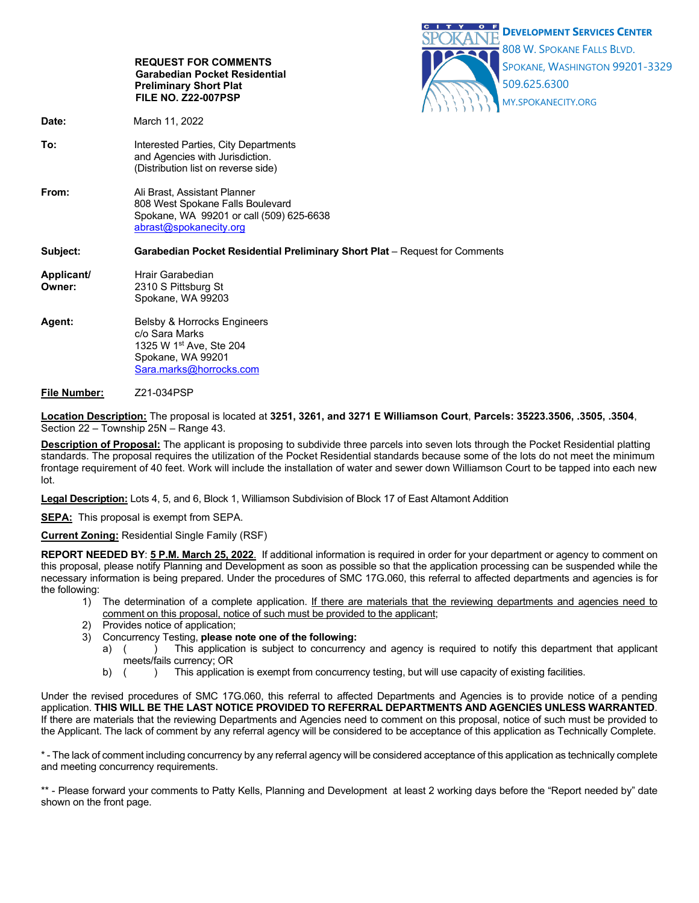

### **File Number:** Z21-034PSP

**Location Description:** The proposal is located at **3251, 3261, and 3271 E Williamson Court**, **Parcels: 35223.3506, .3505, .3504**, Section 22 – Township 25N – Range 43.

**Description of Proposal:** The applicant is proposing to subdivide three parcels into seven lots through the Pocket Residential platting standards. The proposal requires the utilization of the Pocket Residential standards because some of the lots do not meet the minimum frontage requirement of 40 feet. Work will include the installation of water and sewer down Williamson Court to be tapped into each new lot.

**Legal Description:** Lots 4, 5, and 6, Block 1, Williamson Subdivision of Block 17 of East Altamont Addition

**SEPA:** This proposal is exempt from SEPA.

**Current Zoning:** Residential Single Family (RSF)

**REPORT NEEDED BY**: **5 P.M. March 25, 2022**. If additional information is required in order for your department or agency to comment on this proposal, please notify Planning and Development as soon as possible so that the application processing can be suspended while the necessary information is being prepared. Under the procedures of SMC 17G.060, this referral to affected departments and agencies is for the following:

- 1) The determination of a complete application. If there are materials that the reviewing departments and agencies need to comment on this proposal, notice of such must be provided to the applicant;
- 2) Provides notice of application;
- 3) Concurrency Testing, **please note one of the following:**
	- a) () This application is subject to concurrency and agency is required to notify this department that applicant meets/fails currency; OR
	- b) () This application is exempt from concurrency testing, but will use capacity of existing facilities.

Under the revised procedures of SMC 17G.060, this referral to affected Departments and Agencies is to provide notice of a pending application. **THIS WILL BE THE LAST NOTICE PROVIDED TO REFERRAL DEPARTMENTS AND AGENCIES UNLESS WARRANTED**. If there are materials that the reviewing Departments and Agencies need to comment on this proposal, notice of such must be provided to the Applicant. The lack of comment by any referral agency will be considered to be acceptance of this application as Technically Complete.

\* - The lack of comment including concurrency by any referral agency will be considered acceptance of this application as technically complete and meeting concurrency requirements.

\*\* - Please forward your comments to Patty Kells, Planning and Development at least 2 working days before the "Report needed by" date shown on the front page.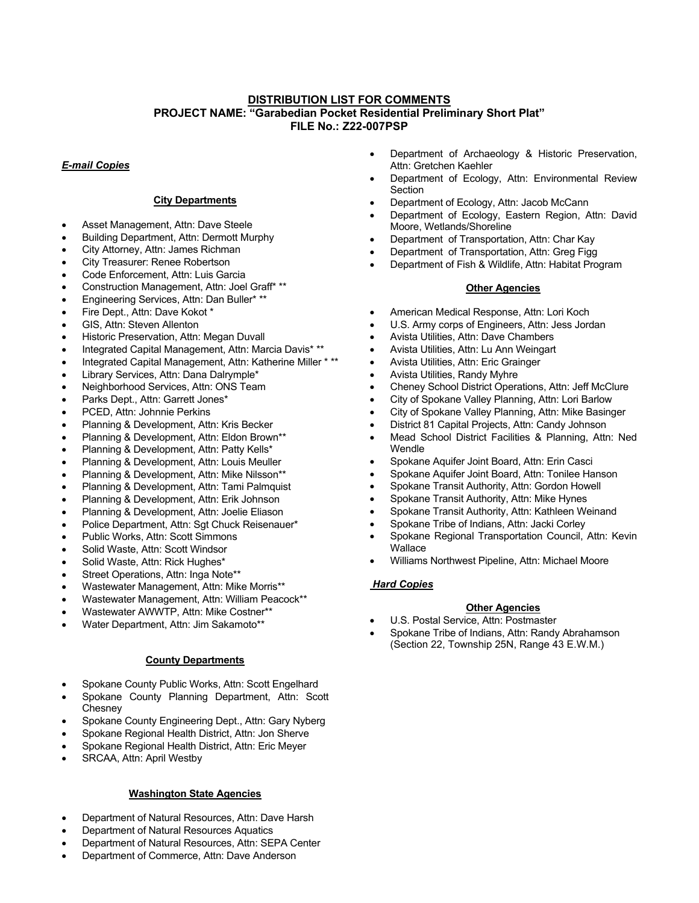# **DISTRIBUTION LIST FOR COMMENTS PROJECT NAME: "Garabedian Pocket Residential Preliminary Short Plat" FILE No.: Z22-007PSP**

## *E-mail Copies*

# **City Departments**

- Asset Management, Attn: Dave Steele
- Building Department, Attn: Dermott Murphy
- City Attorney, Attn: James Richman
- City Treasurer: Renee Robertson
- Code Enforcement, Attn: Luis Garcia
- Construction Management, Attn: Joel Graff\* \*\*
- Engineering Services, Attn: Dan Buller\* \*\*
- Fire Dept., Attn: Dave Kokot \*
- GIS, Attn: Steven Allenton
- Historic Preservation, Attn: Megan Duvall
- Integrated Capital Management, Attn: Marcia Davis\* \*\*
- Integrated Capital Management, Attn: Katherine Miller \* \*\*
- Library Services, Attn: Dana Dalrymple\*
- Neighborhood Services, Attn: ONS Team
- Parks Dept., Attn: Garrett Jones\*
- PCED, Attn: Johnnie Perkins
- Planning & Development, Attn: Kris Becker
- Planning & Development, Attn: Eldon Brown\*\*
- Planning & Development, Attn: Patty Kells\*
- Planning & Development, Attn: Louis Meuller
- Planning & Development, Attn: Mike Nilsson\*\*
- Planning & Development, Attn: Tami Palmquist
- Planning & Development, Attn: Erik Johnson
- Planning & Development, Attn: Joelie Eliason
- Police Department, Attn: Sgt Chuck Reisenauer\*
- Public Works, Attn: Scott Simmons
- Solid Waste, Attn: Scott Windsor
- Solid Waste, Attn: Rick Hughes\*
- Street Operations, Attn: Inga Note\*\*
- Wastewater Management, Attn: Mike Morris\*\*
- Wastewater Management, Attn: William Peacock\*\*
- Wastewater AWWTP, Attn: Mike Costner\*\*
- Water Department, Attn: Jim Sakamoto\*\*

#### **County Departments**

- Spokane County Public Works, Attn: Scott Engelhard
- Spokane County Planning Department, Attn: Scott **Chesney**
- Spokane County Engineering Dept., Attn: Gary Nyberg
- Spokane Regional Health District, Attn: Jon Sherve
- Spokane Regional Health District, Attn: Eric Meyer
- SRCAA, Attn: April Westby

## **Washington State Agencies**

- Department of Natural Resources, Attn: Dave Harsh
- Department of Natural Resources Aquatics
- Department of Natural Resources, Attn: SEPA Center
- Department of Commerce, Attn: Dave Anderson
- Department of Archaeology & Historic Preservation, Attn: Gretchen Kaehler
- Department of Ecology, Attn: Environmental Review **Section**
- Department of Ecology, Attn: Jacob McCann
- Department of Ecology, Eastern Region, Attn: David Moore, Wetlands/Shoreline
- Department of Transportation, Attn: Char Kay
- Department of Transportation, Attn: Greg Figg
- Department of Fish & Wildlife, Attn: Habitat Program

### **Other Agencies**

- American Medical Response, Attn: Lori Koch
- U.S. Army corps of Engineers, Attn: Jess Jordan
- Avista Utilities, Attn: Dave Chambers
- Avista Utilities, Attn: Lu Ann Weingart
- Avista Utilities, Attn: Eric Grainger
- Avista Utilities, Randy Myhre
- Cheney School District Operations, Attn: Jeff McClure
- City of Spokane Valley Planning, Attn: Lori Barlow
- City of Spokane Valley Planning, Attn: Mike Basinger
- District 81 Capital Projects, Attn: Candy Johnson
- Mead School District Facilities & Planning, Attn: Ned Wendle
- Spokane Aquifer Joint Board, Attn: Erin Casci
- Spokane Aquifer Joint Board, Attn: Tonilee Hanson
- Spokane Transit Authority, Attn: Gordon Howell
- Spokane Transit Authority, Attn: Mike Hynes
- Spokane Transit Authority, Attn: Kathleen Weinand
- Spokane Tribe of Indians, Attn: Jacki Corley
- Spokane Regional Transportation Council, Attn: Kevin **Wallace**
- Williams Northwest Pipeline, Attn: Michael Moore

## *Hard Copies*

#### **Other Agencies**

- U.S. Postal Service, Attn: Postmaster
- Spokane Tribe of Indians, Attn: Randy Abrahamson (Section 22, Township 25N, Range 43 E.W.M.)